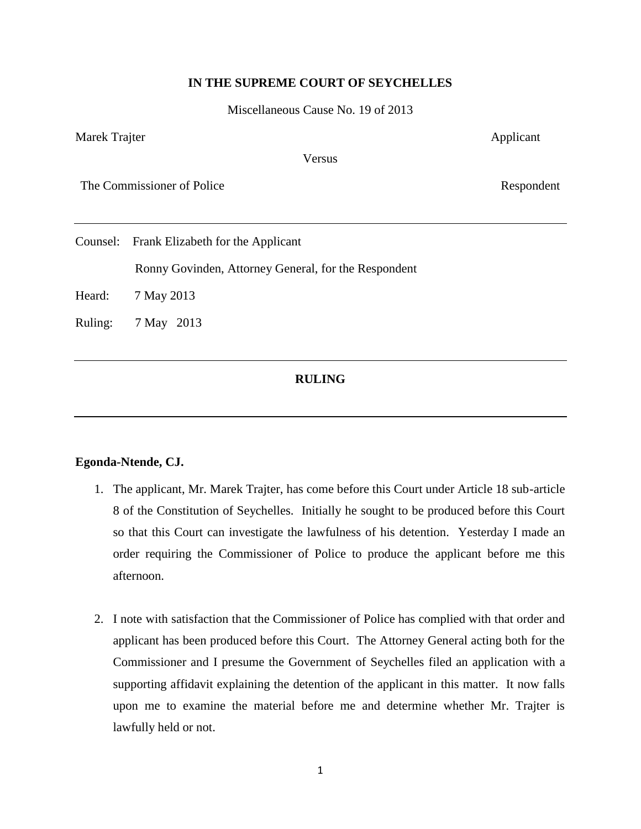## **IN THE SUPREME COURT OF SEYCHELLES**

Miscellaneous Cause No. 19 of 2013

Marek Trajter Applicant

Versus

The Commissioner of Police Respondent

Counsel: Frank Elizabeth for the Applicant

Ronny Govinden, Attorney General, for the Respondent

Heard: 7 May 2013

Ruling: 7 May 2013

## **RULING**

## **Egonda-Ntende, CJ.**

- 1. The applicant, Mr. Marek Trajter, has come before this Court under Article 18 sub-article 8 of the Constitution of Seychelles. Initially he sought to be produced before this Court so that this Court can investigate the lawfulness of his detention. Yesterday I made an order requiring the Commissioner of Police to produce the applicant before me this afternoon.
- 2. I note with satisfaction that the Commissioner of Police has complied with that order and applicant has been produced before this Court. The Attorney General acting both for the Commissioner and I presume the Government of Seychelles filed an application with a supporting affidavit explaining the detention of the applicant in this matter. It now falls upon me to examine the material before me and determine whether Mr. Trajter is lawfully held or not.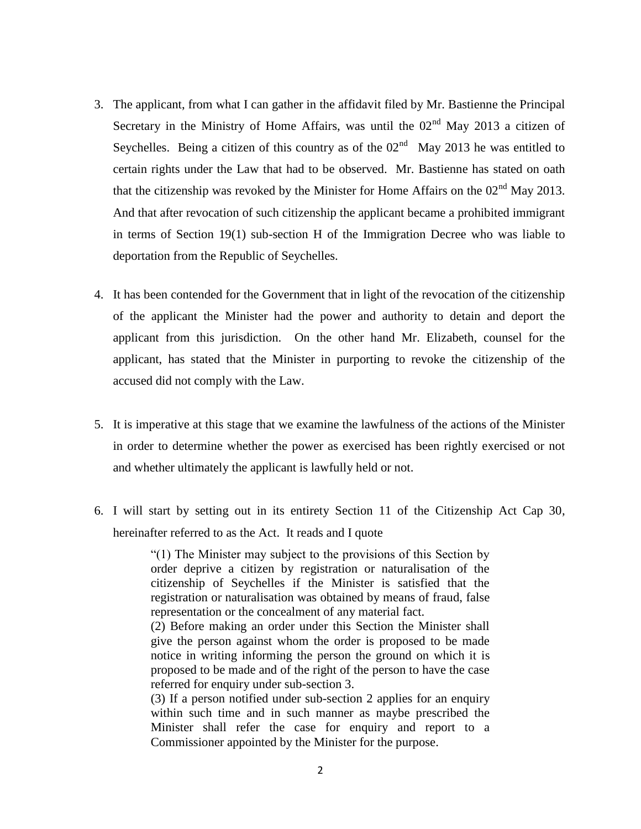- 3. The applicant, from what I can gather in the affidavit filed by Mr. Bastienne the Principal Secretary in the Ministry of Home Affairs, was until the  $02<sup>nd</sup>$  May 2013 a citizen of Seychelles. Being a citizen of this country as of the  $02<sup>nd</sup>$  May 2013 he was entitled to certain rights under the Law that had to be observed. Mr. Bastienne has stated on oath that the citizenship was revoked by the Minister for Home Affairs on the  $02<sup>nd</sup>$  May 2013. And that after revocation of such citizenship the applicant became a prohibited immigrant in terms of Section 19(1) sub-section H of the Immigration Decree who was liable to deportation from the Republic of Seychelles.
- 4. It has been contended for the Government that in light of the revocation of the citizenship of the applicant the Minister had the power and authority to detain and deport the applicant from this jurisdiction. On the other hand Mr. Elizabeth, counsel for the applicant, has stated that the Minister in purporting to revoke the citizenship of the accused did not comply with the Law.
- 5. It is imperative at this stage that we examine the lawfulness of the actions of the Minister in order to determine whether the power as exercised has been rightly exercised or not and whether ultimately the applicant is lawfully held or not.
- 6. I will start by setting out in its entirety Section 11 of the Citizenship Act Cap 30, hereinafter referred to as the Act. It reads and I quote

"(1) The Minister may subject to the provisions of this Section by order deprive a citizen by registration or naturalisation of the citizenship of Seychelles if the Minister is satisfied that the registration or naturalisation was obtained by means of fraud, false representation or the concealment of any material fact.

(2) Before making an order under this Section the Minister shall give the person against whom the order is proposed to be made notice in writing informing the person the ground on which it is proposed to be made and of the right of the person to have the case referred for enquiry under sub-section 3.

(3) If a person notified under sub-section 2 applies for an enquiry within such time and in such manner as maybe prescribed the Minister shall refer the case for enquiry and report to a Commissioner appointed by the Minister for the purpose.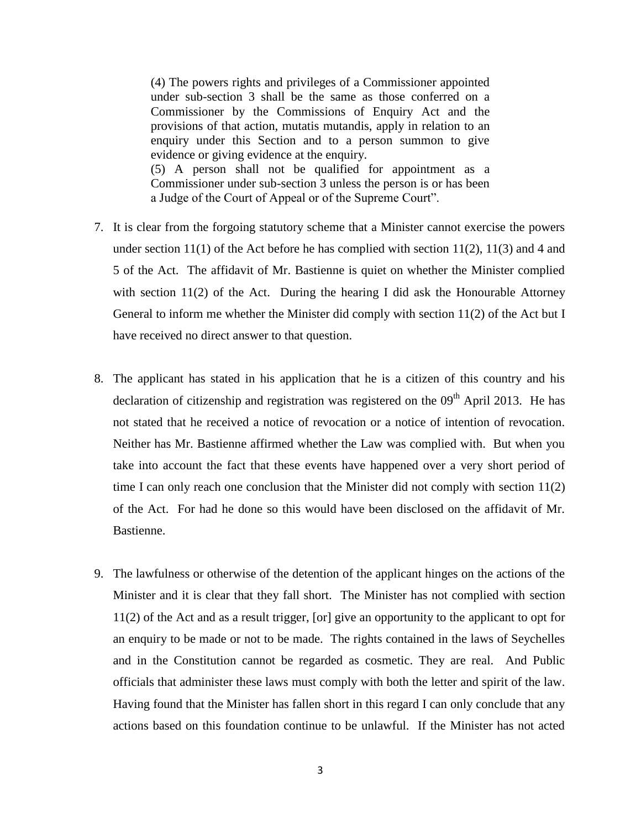(4) The powers rights and privileges of a Commissioner appointed under sub-section 3 shall be the same as those conferred on a Commissioner by the Commissions of Enquiry Act and the provisions of that action, mutatis mutandis, apply in relation to an enquiry under this Section and to a person summon to give evidence or giving evidence at the enquiry. (5) A person shall not be qualified for appointment as a Commissioner under sub-section 3 unless the person is or has been a Judge of the Court of Appeal or of the Supreme Court".

- 7. It is clear from the forgoing statutory scheme that a Minister cannot exercise the powers under section  $11(1)$  of the Act before he has complied with section  $11(2)$ ,  $11(3)$  and 4 and 5 of the Act. The affidavit of Mr. Bastienne is quiet on whether the Minister complied with section  $11(2)$  of the Act. During the hearing I did ask the Honourable Attorney General to inform me whether the Minister did comply with section 11(2) of the Act but I have received no direct answer to that question.
- 8. The applicant has stated in his application that he is a citizen of this country and his declaration of citizenship and registration was registered on the 09<sup>th</sup> April 2013. He has not stated that he received a notice of revocation or a notice of intention of revocation. Neither has Mr. Bastienne affirmed whether the Law was complied with. But when you take into account the fact that these events have happened over a very short period of time I can only reach one conclusion that the Minister did not comply with section 11(2) of the Act. For had he done so this would have been disclosed on the affidavit of Mr. Bastienne.
- 9. The lawfulness or otherwise of the detention of the applicant hinges on the actions of the Minister and it is clear that they fall short. The Minister has not complied with section 11(2) of the Act and as a result trigger, [or] give an opportunity to the applicant to opt for an enquiry to be made or not to be made. The rights contained in the laws of Seychelles and in the Constitution cannot be regarded as cosmetic. They are real. And Public officials that administer these laws must comply with both the letter and spirit of the law. Having found that the Minister has fallen short in this regard I can only conclude that any actions based on this foundation continue to be unlawful. If the Minister has not acted